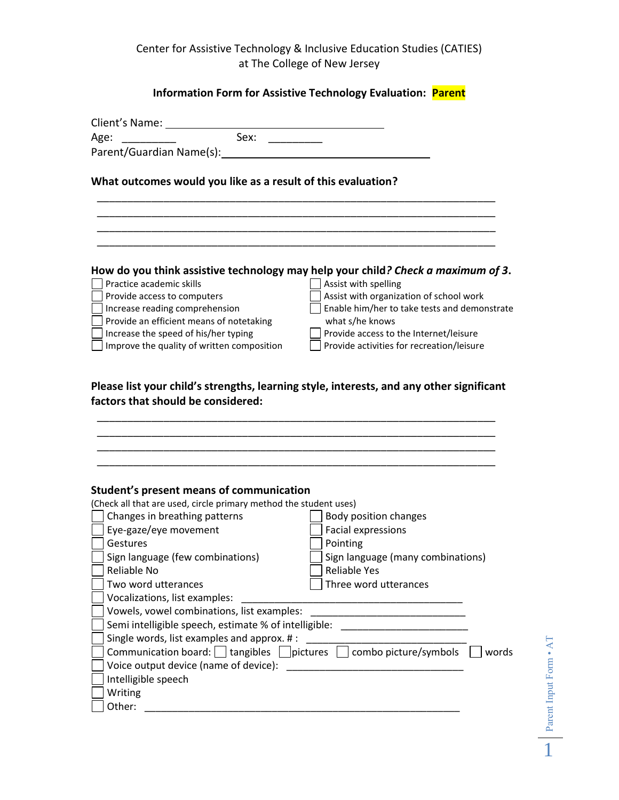Center for Assistive Technology & Inclusive Education Studies (CATIES) at The College of New Jersey

## **Information Form for Assistive Technology Evaluation: Parent**

| Client's Name:<br>Sex:<br>Age:                                                                                        |                                                                                                                                                                                                                                      |  |
|-----------------------------------------------------------------------------------------------------------------------|--------------------------------------------------------------------------------------------------------------------------------------------------------------------------------------------------------------------------------------|--|
|                                                                                                                       |                                                                                                                                                                                                                                      |  |
| What outcomes would you like as a result of this evaluation?                                                          |                                                                                                                                                                                                                                      |  |
|                                                                                                                       |                                                                                                                                                                                                                                      |  |
|                                                                                                                       |                                                                                                                                                                                                                                      |  |
|                                                                                                                       |                                                                                                                                                                                                                                      |  |
|                                                                                                                       |                                                                                                                                                                                                                                      |  |
|                                                                                                                       | How do you think assistive technology may help your child? Check a maximum of 3.                                                                                                                                                     |  |
| Practice academic skills                                                                                              | Assist with spelling                                                                                                                                                                                                                 |  |
| Provide access to computers                                                                                           | Assist with organization of school work                                                                                                                                                                                              |  |
| Increase reading comprehension                                                                                        | Enable him/her to take tests and demonstrate                                                                                                                                                                                         |  |
| Provide an efficient means of notetaking                                                                              | what s/he knows                                                                                                                                                                                                                      |  |
| Increase the speed of his/her typing                                                                                  | Provide access to the Internet/leisure                                                                                                                                                                                               |  |
| Improve the quality of written composition                                                                            | Provide activities for recreation/leisure                                                                                                                                                                                            |  |
|                                                                                                                       |                                                                                                                                                                                                                                      |  |
|                                                                                                                       |                                                                                                                                                                                                                                      |  |
| Student's present means of communication                                                                              |                                                                                                                                                                                                                                      |  |
| (Check all that are used, circle primary method the student uses)                                                     |                                                                                                                                                                                                                                      |  |
| Changes in breathing patterns                                                                                         | Body position changes                                                                                                                                                                                                                |  |
| Eye-gaze/eye movement                                                                                                 | Facial expressions                                                                                                                                                                                                                   |  |
| Gestures                                                                                                              | Pointing                                                                                                                                                                                                                             |  |
| Sign language (few combinations)                                                                                      | Sign language (many combinations)                                                                                                                                                                                                    |  |
| Reliable No                                                                                                           | Reliable Yes                                                                                                                                                                                                                         |  |
| Two word utterances                                                                                                   | Three word utterances                                                                                                                                                                                                                |  |
| Vocalizations, list examples:                                                                                         |                                                                                                                                                                                                                                      |  |
| Vowels, vowel combinations, list examples:                                                                            |                                                                                                                                                                                                                                      |  |
| Semi intelligible speech, estimate % of intelligible:                                                                 | <u> 1999 - Johann John Harry Harry Harry Harry Harry Harry Harry Harry Harry Harry Harry Harry Harry Harry Harry Harry Harry Harry Harry Harry Harry Harry Harry Harry Harry Harry Harry Harry Harry Harry Harry Harry Harry Har</u> |  |
| Single words, list examples and approx. #:                                                                            |                                                                                                                                                                                                                                      |  |
| Communication board: dangibles dipictures dombo picture/symbols dom<br>words<br>Voice output device (name of device): |                                                                                                                                                                                                                                      |  |
| Intelligible speech                                                                                                   | the control of the control of the control of the                                                                                                                                                                                     |  |
| Writing                                                                                                               |                                                                                                                                                                                                                                      |  |
| Other:                                                                                                                |                                                                                                                                                                                                                                      |  |
|                                                                                                                       |                                                                                                                                                                                                                                      |  |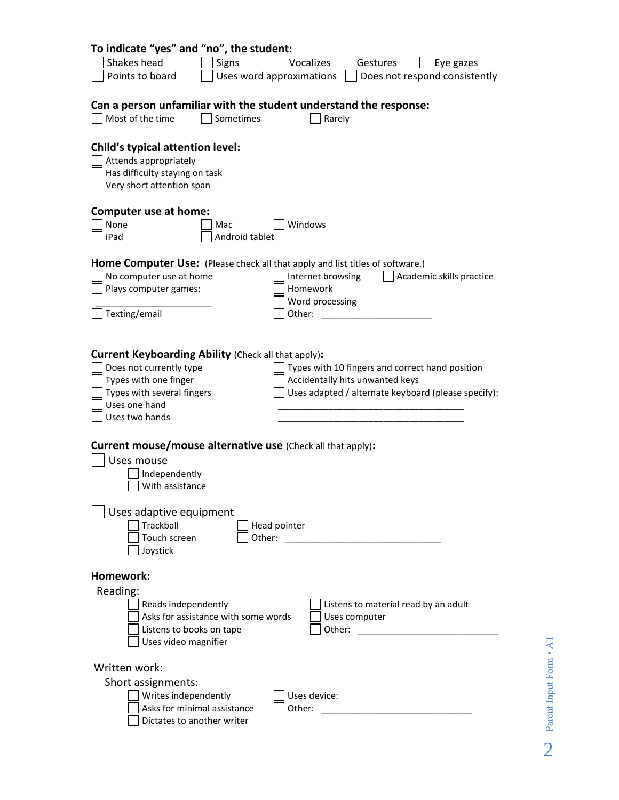| To indicate "yes" and "no", the student:<br>Shakes head<br>Vocalizes<br><b>Signs</b><br>Gestures<br>Eye gazes<br>Uses word approximations<br>Points to board<br>Does not respond consistently                                                                                                                                |  |  |
|------------------------------------------------------------------------------------------------------------------------------------------------------------------------------------------------------------------------------------------------------------------------------------------------------------------------------|--|--|
| Can a person unfamiliar with the student understand the response:<br>Most of the time<br>Sometimes<br>Rarely                                                                                                                                                                                                                 |  |  |
| Child's typical attention level:<br>Attends appropriately<br>Has difficulty staying on task<br>Very short attention span                                                                                                                                                                                                     |  |  |
| Computer use at home:<br>None<br>Windows<br>Mac<br>iPad<br>Android tablet                                                                                                                                                                                                                                                    |  |  |
| Home Computer Use: (Please check all that apply and list titles of software.)<br>No computer use at home<br>Internet browsing<br>Academic skills practice<br>Homework<br>Plays computer games:<br>Word processing<br>Texting/email<br>Other:                                                                                 |  |  |
| <b>Current Keyboarding Ability (Check all that apply):</b><br>Does not currently type<br>Types with 10 fingers and correct hand position<br>Types with one finger<br>Accidentally hits unwanted keys<br>Types with several fingers<br>Uses adapted / alternate keyboard (please specify):<br>Uses one hand<br>Uses two hands |  |  |
| Current mouse/mouse alternative use (Check all that apply):<br>Uses mouse<br>Independently<br>With assistance                                                                                                                                                                                                                |  |  |
| Uses adaptive equipment<br>Trackball<br>Head pointer<br>Touch screen<br>Other:<br>Joystick                                                                                                                                                                                                                                   |  |  |
| Homework:<br>Reading:<br>Reads independently<br>Listens to material read by an adult<br>Asks for assistance with some words<br>Uses computer<br>Listens to books on tape<br>Other:<br>Uses video magnifier                                                                                                                   |  |  |
| Written work:<br>Short assignments:<br>Writes independently<br>Uses device:<br>Asks for minimal assistance<br>Other:<br>Dictates to another writer                                                                                                                                                                           |  |  |